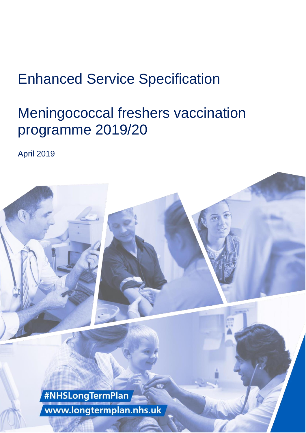# Enhanced Service Specification

# Meningococcal freshers vaccination programme 2019/20

April 2019

#NHSLongTermPlan www.longtermplan.nhs.uk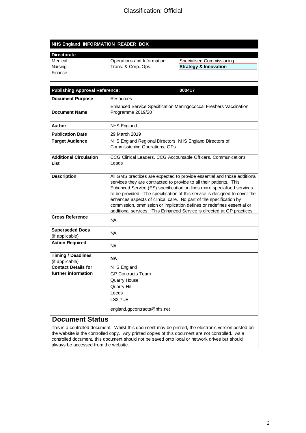#### **NHS England INFORMATION READER BOX**

#### **Directorate**

Finance

| Medical | Operations and Information | Specialised Commissioning        |
|---------|----------------------------|----------------------------------|
| Nursing | Trans. & Corp. Ops.        | <b>Strategy &amp; Innovation</b> |

| <b>Publishing Approval Reference:</b>        | 000417                                                                                                                                                                                                                                                                                                                                                                                                                                                                                                                            |
|----------------------------------------------|-----------------------------------------------------------------------------------------------------------------------------------------------------------------------------------------------------------------------------------------------------------------------------------------------------------------------------------------------------------------------------------------------------------------------------------------------------------------------------------------------------------------------------------|
| <b>Document Purpose</b>                      | Resources                                                                                                                                                                                                                                                                                                                                                                                                                                                                                                                         |
| <b>Document Name</b>                         | Enhanced Service Specification Meningococcal Freshers Vaccination<br>Programme 2019/20                                                                                                                                                                                                                                                                                                                                                                                                                                            |
| Author                                       | <b>NHS England</b>                                                                                                                                                                                                                                                                                                                                                                                                                                                                                                                |
| <b>Publication Date</b>                      | 29 March 2019                                                                                                                                                                                                                                                                                                                                                                                                                                                                                                                     |
| <b>Target Audience</b>                       | NHS England Regional Directors, NHS England Directors of<br>Commissioning Operations, GPs                                                                                                                                                                                                                                                                                                                                                                                                                                         |
| <b>Additional Circulation</b><br>List        | CCG Clinical Leaders, CCG Accountable Officers, Communications<br>Leads                                                                                                                                                                                                                                                                                                                                                                                                                                                           |
| <b>Description</b>                           | All GMS practices are expected to provide essential and those additional<br>services they are contracted to provide to all their patients. This<br>Enhanced Service (ES) specification outlines more specialised services<br>to be provided. The specification of this service is designed to cover the<br>enhances aspects of clinical care. No part of the specification by<br>commission, ommission or implication defines or redefines essential or<br>additional services. This Enhanced Service is directed at GP practices |
| <b>Cross Reference</b>                       | <b>NA</b>                                                                                                                                                                                                                                                                                                                                                                                                                                                                                                                         |
| <b>Superseded Docs</b><br>(if applicable)    | <b>NA</b>                                                                                                                                                                                                                                                                                                                                                                                                                                                                                                                         |
| <b>Action Required</b>                       | <b>NA</b>                                                                                                                                                                                                                                                                                                                                                                                                                                                                                                                         |
| <b>Timing / Deadlines</b><br>(if applicable) | <b>NA</b>                                                                                                                                                                                                                                                                                                                                                                                                                                                                                                                         |
| <b>Contact Details for</b>                   | <b>NHS England</b>                                                                                                                                                                                                                                                                                                                                                                                                                                                                                                                |
| further information                          | <b>GP Contracts Team</b>                                                                                                                                                                                                                                                                                                                                                                                                                                                                                                          |
|                                              | <b>Quarry House</b>                                                                                                                                                                                                                                                                                                                                                                                                                                                                                                               |
|                                              | Quarry Hill                                                                                                                                                                                                                                                                                                                                                                                                                                                                                                                       |
|                                              | Leeds<br>LS2 7UE                                                                                                                                                                                                                                                                                                                                                                                                                                                                                                                  |
| $\sim$ $\sim$ $\sim$ $\sim$ $\sim$ $\sim$    | england.gpcontracts@nhs.net                                                                                                                                                                                                                                                                                                                                                                                                                                                                                                       |

#### **Document Status**

This is a controlled document. Whilst this document may be printed, the electronic version posted on the website is the controlled copy. Any printed copies of this document are not controlled. As a controlled document, this document should not be saved onto local or network drives but should always be accessed from the website.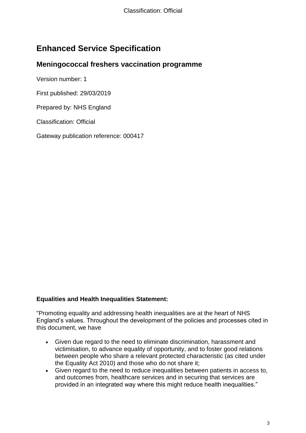### **Enhanced Service Specification**

#### **Meningococcal freshers vaccination programme**

Version number: 1

First published: 29/03/2019

Prepared by: NHS England

Classification: Official

Gateway publication reference: 000417

#### **Equalities and Health Inequalities Statement:**

"Promoting equality and addressing health inequalities are at the heart of NHS England's values. Throughout the development of the policies and processes cited in this document, we have

- Given due regard to the need to eliminate discrimination, harassment and victimisation, to advance equality of opportunity, and to foster good relations between people who share a relevant protected characteristic (as cited under the Equality Act 2010) and those who do not share it;
- Given regard to the need to reduce inequalities between patients in access to, and outcomes from, healthcare services and in securing that services are provided in an integrated way where this might reduce health inequalities."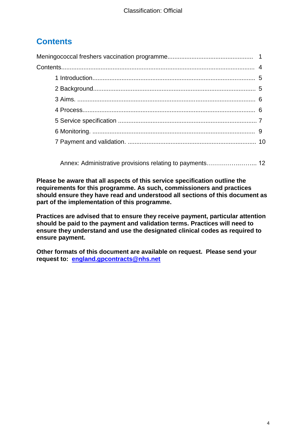## **Contents**

[Annex: Administrative provisions relating to payments…](#page-11-0)………….……... 12

**Please be aware that all aspects of this service specification outline the requirements for this programme. As such, commissioners and practices should ensure they have read and understood all sections of this document as part of the implementation of this programme.** 

**Practices are advised that to ensure they receive payment, particular attention should be paid to the payment and validation terms. Practices will need to ensure they understand and use the designated clinical codes as required to ensure payment.** 

<span id="page-3-0"></span>**Other formats of this document are available on request. Please send your request to: [england.gpcontracts@nhs.net](mailto:england.gpcontracts@nhs.net)**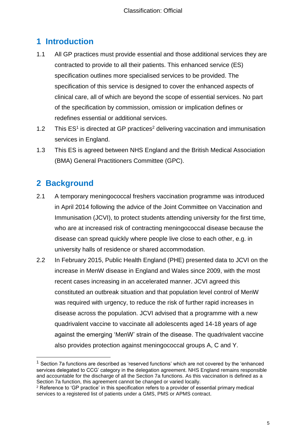### **1 Introduction**

- 1.1 All GP practices must provide essential and those additional services they are contracted to provide to all their patients. This enhanced service (ES) specification outlines more specialised services to be provided. The specification of this service is designed to cover the enhanced aspects of clinical care, all of which are beyond the scope of essential services. No part of the specification by commission, omission or implication defines or redefines essential or additional services.
- 1.2 This  $ES<sup>1</sup>$  is directed at GP practices<sup>2</sup> delivering vaccination and immunisation services in England.
- 1.3 This ES is agreed between NHS England and the British Medical Association (BMA) General Practitioners Committee (GPC).

#### <span id="page-4-0"></span>**2 Background**

l

- 2.1 A temporary meningococcal freshers vaccination programme was introduced in April 2014 following the advice of the Joint Committee on Vaccination and Immunisation (JCVI), to protect students attending university for the first time, who are at increased risk of contracting meningococcal disease because the disease can spread quickly where people live close to each other, e.g. in university halls of residence or shared accommodation.
- 2.2 In February 2015, Public Health England (PHE) presented data to JCVI on the increase in MenW disease in England and Wales since 2009, with the most recent cases increasing in an accelerated manner. JCVI agreed this constituted an outbreak situation and that population level control of MenW was required with urgency, to reduce the risk of further rapid increases in disease across the population. JCVI advised that a programme with a new quadrivalent vaccine to vaccinate all adolescents aged 14-18 years of age against the emerging 'MenW' strain of the disease. The quadrivalent vaccine also provides protection against meningococcal groups A, C and Y.

 $<sup>1</sup>$  Section 7a functions are described as 'reserved functions' which are not covered by the 'enhanced</sup> services delegated to CCG' category in the delegation agreement. NHS England remains responsible and accountable for the discharge of all the Section 7a functions. As this vaccination is defined as a Section 7a function, this agreement cannot be changed or varied locally.

<sup>&</sup>lt;sup>2</sup> Reference to 'GP practice' in this specification refers to a provider of essential primary medical services to a registered list of patients under a GMS, PMS or APMS contract.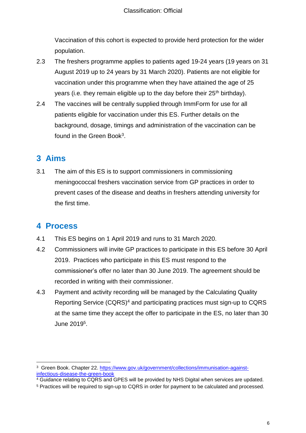Vaccination of this cohort is expected to provide herd protection for the wider population.

- 2.3 The freshers programme applies to patients aged 19-24 years (19 years on 31 August 2019 up to 24 years by 31 March 2020). Patients are not eligible for vaccination under this programme when they have attained the age of 25 years (i.e. they remain eligible up to the day before their  $25<sup>th</sup>$  birthday).
- 2.4 The vaccines will be centrally supplied through ImmForm for use for all patients eligible for vaccination under this ES. Further details on the background, dosage, timings and administration of the vaccination can be found in the Green Book<sup>3</sup>.

## <span id="page-5-0"></span>**3 Aims**

3.1 The aim of this ES is to support commissioners in commissioning meningococcal freshers vaccination service from GP practices in order to prevent cases of the disease and deaths in freshers attending university for the first time.

### <span id="page-5-1"></span>**4 Process**

- 4.1 This ES begins on 1 April 2019 and runs to 31 March 2020.
- 4.2 Commissioners will invite GP practices to participate in this ES before 30 April 2019. Practices who participate in this ES must respond to the commissioner's offer no later than 30 June 2019. The agreement should be recorded in writing with their commissioner.
- 4.3 Payment and activity recording will be managed by the Calculating Quality Reporting Service (CQRS)<sup>4</sup> and participating practices must sign-up to CQRS at the same time they accept the offer to participate in the ES, no later than 30 June 2019 5 .

l <sup>3</sup> Green Book. Chapter 22. [https://www.gov.uk/government/collections/immunisation-against](https://www.gov.uk/government/collections/immunisation-against-infectious-disease-the-green-book)[infectious-disease-the-green-book](https://www.gov.uk/government/collections/immunisation-against-infectious-disease-the-green-book)

<sup>&</sup>lt;sup>4</sup> Guidance relating to CQRS and GPES will be provided by NHS Digital when services are updated.

<sup>5</sup> Practices will be required to sign-up to CQRS in order for payment to be calculated and processed.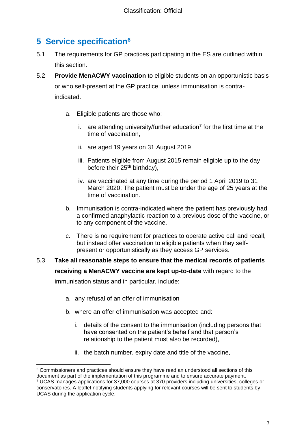## <span id="page-6-0"></span>**5 Service specification<sup>6</sup>**

- 5.1 The requirements for GP practices participating in the ES are outlined within this section.
- 5.2 **Provide MenACWY vaccination** to eligible students on an opportunistic basis or who self-present at the GP practice; unless immunisation is contraindicated.
	- a. Eligible patients are those who:
		- i. are attending university/further education<sup>7</sup> for the first time at the time of vaccination,
		- ii. are aged 19 years on 31 August 2019
		- iii. Patients eligible from August 2015 remain eligible up to the day before their 25**th** birthday),
		- iv. are vaccinated at any time during the period 1 April 2019 to 31 March 2020; The patient must be under the age of 25 years at the time of vaccination.
	- b. Immunisation is contra-indicated where the patient has previously had a confirmed anaphylactic reaction to a previous dose of the vaccine, or to any component of the vaccine.
	- c. There is no requirement for practices to operate active call and recall, but instead offer vaccination to eligible patients when they selfpresent or opportunistically as they access GP services.

## 5.3 **Take all reasonable steps to ensure that the medical records of patients receiving a MenACWY vaccine are kept up-to-date** with regard to the

immunisation status and in particular, include:

- a. any refusal of an offer of immunisation
- b. where an offer of immunisation was accepted and:
	- i. details of the consent to the immunisation (including persons that have consented on the patient's behalf and that person's relationship to the patient must also be recorded),
	- ii. the batch number, expiry date and title of the vaccine,

l <sup>6</sup> Commissioners and practices should ensure they have read an understood all sections of this document as part of the implementation of this programme and to ensure accurate payment. <sup>7</sup> UCAS manages applications for 37,000 courses at 370 providers including universities, colleges or conservatoires. A leaflet notifying students applying for relevant courses will be sent to students by UCAS during the application cycle.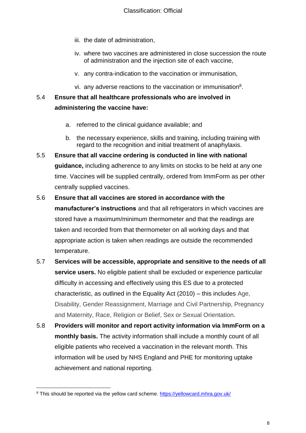- iii. the date of administration,
- iv. where two vaccines are administered in close succession the route of administration and the injection site of each vaccine,
- v. any contra-indication to the vaccination or immunisation,
- vi. any adverse reactions to the vaccination or immunisation $8$ .

#### 5.4 **Ensure that all healthcare professionals who are involved in administering the vaccine have:**

- a. referred to the clinical guidance available; and
- b. the necessary experience, skills and training, including training with regard to the recognition and initial treatment of anaphylaxis.
- 5.5 **Ensure that all vaccine ordering is conducted in line with national guidance,** including adherence to any limits on stocks to be held at any one time. Vaccines will be supplied centrally, ordered from ImmForm as per other centrally supplied vaccines.

#### 5.6 **Ensure that all vaccines are stored in accordance with the**

**manufacturer's instructions** and that all refrigerators in which vaccines are stored have a maximum/minimum thermometer and that the readings are taken and recorded from that thermometer on all working days and that appropriate action is taken when readings are outside the recommended temperature.

- 5.7 **Services will be accessible, appropriate and sensitive to the needs of all service users.** No eligible patient shall be excluded or experience particular difficulty in accessing and effectively using this ES due to a protected characteristic, as outlined in the Equality Act (2010) – this includes Age, Disability, Gender Reassignment, Marriage and Civil Partnership, Pregnancy and Maternity, Race, Religion or Belief, Sex or Sexual Orientation.
- 5.8 **Providers will monitor and report activity information via ImmForm on a monthly basis.** The activity information shall include a monthly count of all eligible patients who received a vaccination in the relevant month. This information will be used by NHS England and PHE for monitoring uptake achievement and national reporting.

 <sup>8</sup> This should be reported via the yellow card scheme.<https://yellowcard.mhra.gov.uk/>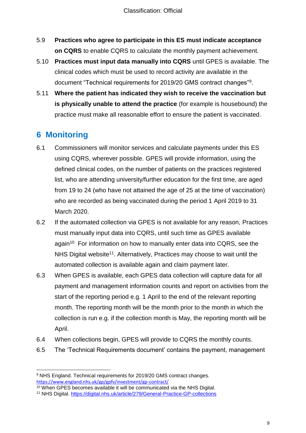- 5.9 **Practices who agree to participate in this ES must indicate acceptance on CQRS** to enable CQRS to calculate the monthly payment achievement.
- 5.10 **Practices must input data manually into CQRS** until GPES is available. The clinical codes which must be used to record activity are available in the document "Technical requirements for 2019/20 GMS contract changes"<sup>9</sup> .
- 5.11 **Where the patient has indicated they wish to receive the vaccination but is physically unable to attend the practice** (for example is housebound) the practice must make all reasonable effort to ensure the patient is vaccinated.

### <span id="page-8-0"></span>**6 Monitoring**

 $\overline{a}$ 

- 6.1 Commissioners will monitor services and calculate payments under this ES using CQRS, wherever possible. GPES will provide information, using the defined clinical codes, on the number of patients on the practices registered list, who are attending university/further education for the first time, are aged from 19 to 24 (who have not attained the age of 25 at the time of vaccination) who are recorded as being vaccinated during the period 1 April 2019 to 31 March 2020.
- 6.2 If the automated collection via GPES is not available for any reason, Practices must manually input data into CQRS, until such time as GPES available again<sup>10</sup> For information on how to manually enter data into CQRS, see the NHS Digital website<sup>11</sup>. Alternatively, Practices may choose to wait until the automated collection is available again and claim payment later.
- 6.3 When GPES is available, each GPES data collection will capture data for all payment and management information counts and report on activities from the start of the reporting period e.g. 1 April to the end of the relevant reporting month. The reporting month will be the month prior to the month in which the collection is run e.g. if the collection month is May, the reporting month will be April.
- 6.4 When collections begin, GPES will provide to CQRS the monthly counts.
- 6.5 The 'Technical Requirements document' contains the payment, management

<sup>9</sup> NHS England. Technical requirements for 2019/20 GMS contract changes. <https://www.england.nhs.uk/gp/gpfv/investment/gp-contract/>

<sup>&</sup>lt;sup>10</sup> When GPES becomes available it will be communicated via the NHS Digital.

<sup>11</sup> NHS Digital.<https://digital.nhs.uk/article/279/General-Practice-GP-collections>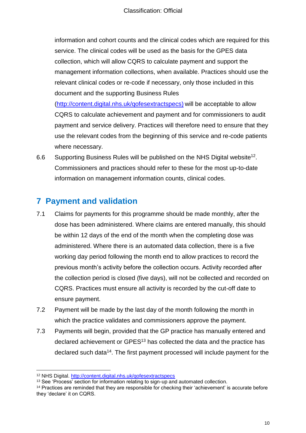information and cohort counts and the clinical codes which are required for this service. The clinical codes will be used as the basis for the GPES data collection, which will allow CQRS to calculate payment and support the management information collections, when available. Practices should use the relevant clinical codes or re-code if necessary, only those included in this document and the supporting Business Rules

[\(http://content.digital.nhs.uk/qofesextractspecs\)](http://content.digital.nhs.uk/qofesextractspecs) will be acceptable to allow CQRS to calculate achievement and payment and for commissioners to audit payment and service delivery. Practices will therefore need to ensure that they use the relevant codes from the beginning of this service and re-code patients where necessary.

6.6 Supporting Business Rules will be published on the NHS Digital website<sup>12</sup>. Commissioners and practices should refer to these for the most up-to-date information on management information counts, clinical codes.

## <span id="page-9-0"></span>**7 Payment and validation**

- 7.1 Claims for payments for this programme should be made monthly, after the dose has been administered. Where claims are entered manually, this should be within 12 days of the end of the month when the completing dose was administered. Where there is an automated data collection, there is a five working day period following the month end to allow practices to record the previous month's activity before the collection occurs. Activity recorded after the collection period is closed (five days), will not be collected and recorded on CQRS. Practices must ensure all activity is recorded by the cut-off date to ensure payment.
- 7.2 Payment will be made by the last day of the month following the month in which the practice validates and commissioners approve the payment.
- 7.3 Payments will begin, provided that the GP practice has manually entered and declared achievement or GPES<sup>13</sup> has collected the data and the practice has declared such data<sup>14</sup>. The first payment processed will include payment for the

 $\overline{a}$ <sup>12</sup> NHS Digital.<http://content.digital.nhs.uk/qofesextractspecs>

<sup>&</sup>lt;sup>13</sup> See 'Process' section for information relating to sign-up and automated collection.

<sup>14</sup> Practices are reminded that they are responsible for checking their 'achievement' is accurate before they 'declare' it on CQRS.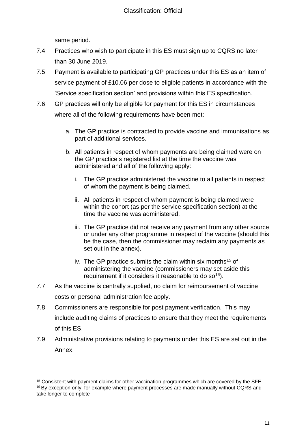same period.

l

- 7.4 Practices who wish to participate in this ES must sign up to CQRS no later than 30 June 2019.
- 7.5 Payment is available to participating GP practices under this ES as an item of service payment of £10.06 per dose to eligible patients in accordance with the 'Service specification section' and provisions within this ES specification.
- 7.6 GP practices will only be eligible for payment for this ES in circumstances where all of the following requirements have been met:
	- a. The GP practice is contracted to provide vaccine and immunisations as part of additional services.
	- b. All patients in respect of whom payments are being claimed were on the GP practice's registered list at the time the vaccine was administered and all of the following apply:
		- i. The GP practice administered the vaccine to all patients in respect of whom the payment is being claimed.
		- ii. All patients in respect of whom payment is being claimed were within the cohort (as per the service specification section) at the time the vaccine was administered.
		- iii. The GP practice did not receive any payment from any other source or under any other programme in respect of the vaccine (should this be the case, then the commissioner may reclaim any payments as set out in the annex).
		- iv. The GP practice submits the claim within six months<sup>15</sup> of administering the vaccine (commissioners may set aside this requirement if it considers it reasonable to do so<sup>16</sup>).
- 7.7 As the vaccine is centrally supplied, no claim for reimbursement of vaccine costs or personal administration fee apply.
- 7.8 Commissioners are responsible for post payment verification. This may include auditing claims of practices to ensure that they meet the requirements of this ES.
- 7.9 Administrative provisions relating to payments under this ES are set out in the Annex.

<sup>&</sup>lt;sup>15</sup> Consistent with payment claims for other vaccination programmes which are covered by the SFE.  $16$  By exception only, for example where payment processes are made manually without CQRS and take longer to complete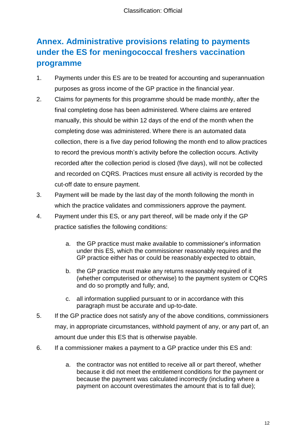## <span id="page-11-0"></span>**Annex. Administrative provisions relating to payments under the ES for meningococcal freshers vaccination programme**

- 1. Payments under this ES are to be treated for accounting and superannuation purposes as gross income of the GP practice in the financial year.
- 2. Claims for payments for this programme should be made monthly, after the final completing dose has been administered. Where claims are entered manually, this should be within 12 days of the end of the month when the completing dose was administered. Where there is an automated data collection, there is a five day period following the month end to allow practices to record the previous month's activity before the collection occurs. Activity recorded after the collection period is closed (five days), will not be collected and recorded on CQRS. Practices must ensure all activity is recorded by the cut-off date to ensure payment.
- 3. Payment will be made by the last day of the month following the month in which the practice validates and commissioners approve the payment.
- 4. Payment under this ES, or any part thereof, will be made only if the GP practice satisfies the following conditions:
	- a. the GP practice must make available to commissioner's information under this ES, which the commissioner reasonably requires and the GP practice either has or could be reasonably expected to obtain,
	- b. the GP practice must make any returns reasonably required of it (whether computerised or otherwise) to the payment system or CQRS and do so promptly and fully; and,
	- c. all information supplied pursuant to or in accordance with this paragraph must be accurate and up-to-date.
- 5. If the GP practice does not satisfy any of the above conditions, commissioners may, in appropriate circumstances, withhold payment of any, or any part of, an amount due under this ES that is otherwise payable.
- 6. If a commissioner makes a payment to a GP practice under this ES and:
	- a. the contractor was not entitled to receive all or part thereof, whether because it did not meet the entitlement conditions for the payment or because the payment was calculated incorrectly (including where a payment on account overestimates the amount that is to fall due);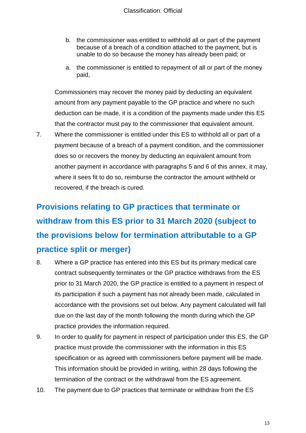- b. the commissioner was entitled to withhold all or part of the payment because of a breach of a condition attached to the payment, but is unable to do so because the money has already been paid; or
- a. the commissioner is entitled to repayment of all or part of the money paid,

Commissioners may recover the money paid by deducting an equivalent amount from any payment payable to the GP practice and where no such deduction can be made, it is a condition of the payments made under this ES that the contractor must pay to the commissioner that equivalent amount.

7. Where the commissioner is entitled under this ES to withhold all or part of a payment because of a breach of a payment condition, and the commissioner does so or recovers the money by deducting an equivalent amount from another payment in accordance with paragraphs 5 and 6 of this annex, it may, where it sees fit to do so, reimburse the contractor the amount withheld or recovered, if the breach is cured.

## **Provisions relating to GP practices that terminate or withdraw from this ES prior to 31 March 2020 (subject to the provisions below for termination attributable to a GP practice split or merger)**

- 8. Where a GP practice has entered into this ES but its primary medical care contract subsequently terminates or the GP practice withdraws from the ES prior to 31 March 2020, the GP practice is entitled to a payment in respect of its participation if such a payment has not already been made, calculated in accordance with the provisions set out below. Any payment calculated will fall due on the last day of the month following the month during which the GP practice provides the information required.
- 9. In order to qualify for payment in respect of participation under this ES, the GP practice must provide the commissioner with the information in this ES specification or as agreed with commissioners before payment will be made. This information should be provided in writing, within 28 days following the termination of the contract or the withdrawal from the ES agreement.
- 10. The payment due to GP practices that terminate or withdraw from the ES